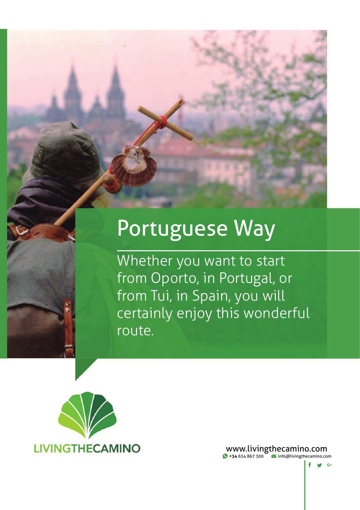# Portuguese Way

Whether you want to start from Oporto, in Portugal, or from Tui, in Spain, you will certainly enjoy this wonderful route.



www.livingthecamino.com **+34** 634 867 300 info@livingthecamino.com

 $f \circ g$  G.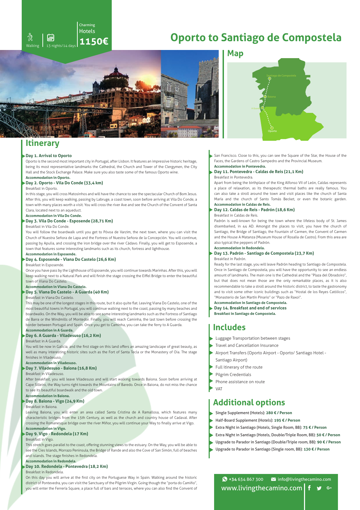# **Oporto to Santiago de Compostela**



Charming **Hotels** 

**1150€**

## **Itinerary**

#### **Day 1. Arrival to Oporto**

Oporto is the second most important city in Portugal, after Lisbon. It features an impressive historic heritage, being its most representative landmarks the Cathedral, the Church and Tower of the Clergymen, the City Hall and the Stock Exchange Palace. Make sure you also taste some of the famous Oporto wine. **Accommodation in Oporto.**

## **Day 2. Oporto - Vila Do Conde (33,4 km)**

13 nights/14 day

Œ

氛

#### Breakfast in Oporto.

In this stage, you will cross Matosinhos and will have the chance to see the spectacular Church of Bom Jesus. After this, you will keep walking, passing by Labruge, a coast town, soon before arriving at Vila Do Conde, a town with many places worth a visit. You will cross the river Ave and see the Church of the Convent of Santa Clara, located next to an aqueduct.

#### **Accommodation in Vila Do Conde. Day 3. Vila Do Conde - Esposende (28,71 Km)**

## Breakfast in Vila Do Conde.

You will follow the boardwalk until you get to Póvoa de Varzim, the next town, where you can visit the Church of Nuestra Señora de Lapa and the Fortress of Nuestra Señora de la Concepción. You will continue, passing by Apulia, and crossing the iron bridge over the river Cádavo. Finally, you will get to Esposende, a town that features some interesting landmarks such as its church, fortress and lighthouse.

#### **Accommodation in Esposende.**

#### **Day 4. Esposende - Viana Do Castelo (26,6 Km)**

Breakfast in Esposende.

Once you have pass by the Lighthouse of Esposende, you will continue towards Marinhas. After this, you will keep walking next to a Natural Park and will finish the stage crossing the Eiffel Bridge to enter the beautiful town of Viana Do Castelo.

**Accommodation in Viana Do Castelo.**

## **Day 5. Viana Do Castelo - A Guarda (40 Km)**

## Breakfast in Viana Do Castelo.

This may be one of the longest stages in this route, but it also quite flat. Leaving Viana Do Castelo, one of the most beautiful towns in Portugal, you will continue walking next to the coast, passing by many beaches and boardwalks. On the Way, you will be able to see some interesting landmarks such as the Fortress of Santiago de Barra or the Windmills of Montedor. Finally, you will reach Caminha, the last town before crossing the border between Portugal and Spain. Once you get to Caminha, you can take the ferry to A Guarda.

#### **Accommodation in A Guarda. Day 6. A Guarda - Viladesuso (16,2 Km)**

## Breakfast in A Guarda.

You will be now in Galicia, and the first stage on this land offers an amazing landscape of great beauty, as well as many interesting historic sites such as the Fort of Santa Tecla or the Monastery of Oia. The stage finishes in Viladesuso

## **Accommodation in Viladesuso.**

## **Day 7. Viladesuso - Baiona (16,8 Km)**

Breakfast in Viladesuso.

After breakfast, you will leave Viladesuso and will start walking towards Baiona. Soon before arriving at Cape Silleiro, the Way turns right towards the Mountains of Baredo. Once in Baiona, do not miss the chance to see its beautiful boardwalk and the old town.

#### **Accommodation in Baiona. Day 8. Baiona - Vigo (24,9 Km)**

#### Breakfast in Baiona.

Leaving Baiona, you will enter an area called Santa Cristina de A Ramallosa, which features many characteristic bridges from the 15th Century, as well as the church and country house of Cadaval. After crossing the Romanesque bridge over the river Miñor, you will continue your Way to finally arrive at Vigo. **Accommodation in Vigo.**

## **Day 9. Vigo - Redondela (17 Km)**

Breakfast in Vigo.

This stretch goes parallel to the coast, offering stunning views to the estuary. On the Way, you will be able to see the Cíes Islands, Morrazo Peninsula, the Bridge of Rande and also the Cove of San Simón, full of beaches and islands. The stage finishes in Redondela.

## **Accommodation in Redondela.**

#### **Day 10. Redondela - Pontevedra (18,2 Km)** Breakfast in Redondela.

On this day you will arrive at the first city on the Portuguese Way in Spain. Walking around the historic district of Pontevedra, you can visit the Sanctuary of the Pilgrim Virgin. Going though the "porta do Camiño", you will enter the Ferrería Square, a place full of bars and terraces, where you can also find the Convent of

## **Map**



San Francisco. Close to this, you can see the Square of the Star, the House of the Faces, the Gardens of Castro Sampedro and the Provincial Museum. **Accommodation in Pontevedra.**

#### **Day 11. Pontevedra - Caldas de Reis (21,1 Km)** Breakfast in Pontevedra.

Apart from being the birthplace of the King Alfonso VII of León, Caldas represents a place of relaxation, as its therapeutic thermal baths are really famous. You can also take a stroll around the town and visit places like the church of Santa María and the church of Santo Tomás Becket, or even the botanic garden. **Accommodation in Caldas de Reis.**

## **Day 12. Caldas de Reis - Padrón (18,6 Km)**

Breakfast in Caldas de Reis.

Padrón is well-known for being the town where the lifeless body of St. James disembarked, in 44 AD. Amongst the places to visit, you have the church of Santiago, the Bridge of Santiago, the Fountain of Carmen, the Convent of Carmen and the House A Matanza (Museum House of Rosalía de Castro). From this area are also typical the peppers of Padrón.

## **Accommodation in Redondela.**

#### **Day 13. Padrón - Santiago de Compostela (23,7 Km)** Breakfast in Padrón.

Ready for the last stage, you will leave Padrón heading to Santiago de Compostela. Once in Santiago de Compostela, you will have the opportunity to see an endless amount of landmarks. The main one is the Cathedral and the "Plaza del Obradoiro", but that does not mean those are the only remarkable places, as it is also recommendable to take a stroll around the historic district, to taste the gastronomy and to visit some other iconic buildings such as "Hostal de los Reyes Católicos", "Monasterio de San Martín Pinario" or "Pazo de Raxoi".

- **Accommodation in Santiago de Compostela.**
- **Day 14. Breakfast and end of services Breakfast in Santiago de Compostela.**
- 

## **Includes**

- Luggage Transportation between stages
- Travel and Cancellation Insurance
- Airport Transfers (Oporto Airport Oporto/ Santiago Hotel Santiago Airport)
- Full itinerary of the route
- Pilgrim Credentials
- Phone assistance on route
- VAT

## **Additional options**

- Single Supplement (Hotels): **280 € / Person**
- Half-Board Supplement (Hotels): **195 € / Person**
- Extra Night in Santiago (Hotels, Single Room, BB): **75 € / Person**
- Extra Night in Santiago (Hotels, Double/Triple Room, BB): **50 € / Person**
- Upgrade to Parador in Santiago (Double/Triple room, BB): **90 € / Person**
- Upgrade to Parador in Santiago (Single room, BB): **130 € / Person**

 $\bigodot$  +34 634 867 300  $\bigodot$  info@livingthecamino.com www.livingthecamino.com  $\mathbf{w}$  G+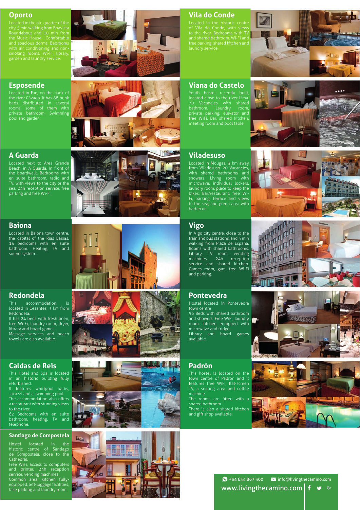## **Oporto**

Roundabout and 10 min from smoking rooms. Wi-Fi, library, garden and laundry service.

## **Esposende**

Located in Fao, on the bank of the river Cávado. It has 88 bunk beds distributed in several private bathroom. Swimming pool and garden.



Located next to Área Grande Beach, in A Guarda, in front of the boardwalk. Bedrooms with en suite bathroom, radio and TV, with views to the city or the sea. 24h reception service, free parking and free Wi-Fi.

## **Baiona**

Located in Baiona town centre, the capital of the Rias Baixas. 14 bedrooms with en suite bathroom. Heating, TV and sound system.

## **Redondela**

This accommodation is located in Cesantes, 3 km from Redondela. It has 24 beds with fresh linen, free Wi-Fi, laundry room, dryer, library and board games. Massage services and beach

## **Caldas de Reis**

towels are also available.

This Hotel and Spa is located in an historic building fully refurbished.

It features whirlpool baths, Jacuzzi and a swimming pool. The accommodation also offers a restaurant with stunning views to the river.

62 Bedrooms with en suite bathroom, heating, TV and telephone.

## **Santiago de Compostela**

Hostel located in the historic centre of Santiago de Compostela, close to the Cathedral.

Free WiFi, access to computers and printer, 24h reception service, vending machines. Common area, kitchen fullyequipped, left-luggage facilities, bike parking and laundry room.















## **Vila do Conde**

and shared bathroom. Wi-Fi and

## **Viana do Castelo**

Youth hostel recently built, located close to the river Lima. bathroom. Laundry room, private parking, elevator and free WiFi. Bar, shared kitchen, meeting room and pool table.

## **Viladesuso**

Located in Mougas, 3 km away from Viladesuso. 20 Vacancies, with shared bathrooms and showers. Living room with microwave, individual lockers, laundry room, place to keep the bikes. Bar/restaurant, free Wi-Fi, parking, terrace and views to the sea, and green area with barbecue.

## **Vigo**

In Vigo city centre, close to the train and bus stations, and 5 min walking from Plaza de España. Rooms with shared bathrooms. Library, TV room, vending machines, 24h reception service and shared kitchen. Games room, gym, free Wi-Fi and parking.

## **Pontevedra**

Hostel located in Pontevedra town centre 56 Beds with shared bathroom and showers. Free WiFi, laundry room, kitchen equipped with microwave and fridge. Library and board games available.

## **Padrón**

This hostel is located on the town centre of Padrón and it features free WiFi, flat-screen TV, a seating area and coffee machine.

The rooms are fitted with a shared bathroom.

There is also a shared kitchen and gift shop available.